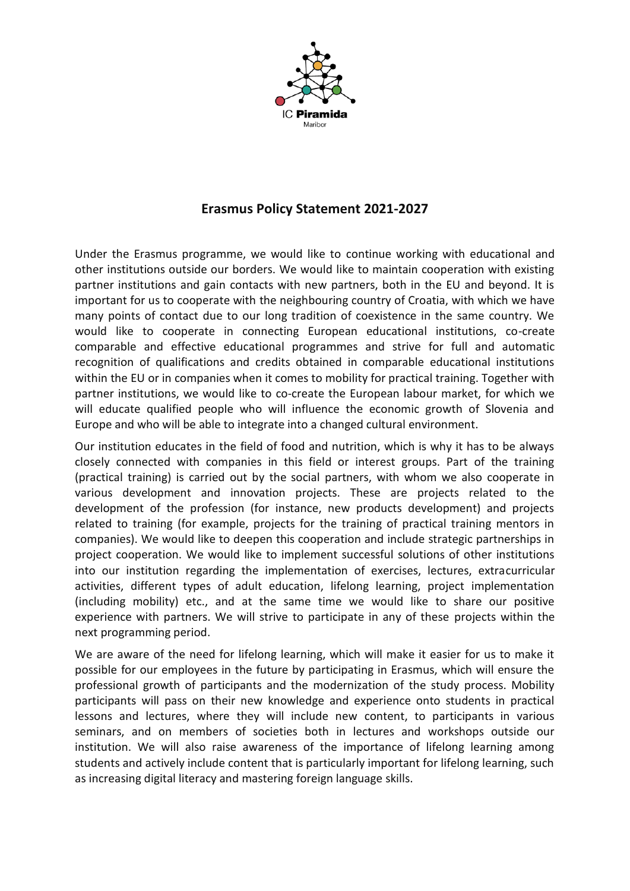

## **Erasmus Policy Statement 2021-2027**

Under the Erasmus programme, we would like to continue working with educational and other institutions outside our borders. We would like to maintain cooperation with existing partner institutions and gain contacts with new partners, both in the EU and beyond. It is important for us to cooperate with the neighbouring country of Croatia, with which we have many points of contact due to our long tradition of coexistence in the same country. We would like to cooperate in connecting European educational institutions, co-create comparable and effective educational programmes and strive for full and automatic recognition of qualifications and credits obtained in comparable educational institutions within the EU or in companies when it comes to mobility for practical training. Together with partner institutions, we would like to co-create the European labour market, for which we will educate qualified people who will influence the economic growth of Slovenia and Europe and who will be able to integrate into a changed cultural environment.

Our institution educates in the field of food and nutrition, which is why it has to be always closely connected with companies in this field or interest groups. Part of the training (practical training) is carried out by the social partners, with whom we also cooperate in various development and innovation projects. These are projects related to the development of the profession (for instance, new products development) and projects related to training (for example, projects for the training of practical training mentors in companies). We would like to deepen this cooperation and include strategic partnerships in project cooperation. We would like to implement successful solutions of other institutions into our institution regarding the implementation of exercises, lectures, extracurricular activities, different types of adult education, lifelong learning, project implementation (including mobility) etc., and at the same time we would like to share our positive experience with partners. We will strive to participate in any of these projects within the next programming period.

We are aware of the need for lifelong learning, which will make it easier for us to make it possible for our employees in the future by participating in Erasmus, which will ensure the professional growth of participants and the modernization of the study process. Mobility participants will pass on their new knowledge and experience onto students in practical lessons and lectures, where they will include new content, to participants in various seminars, and on members of societies both in lectures and workshops outside our institution. We will also raise awareness of the importance of lifelong learning among students and actively include content that is particularly important for lifelong learning, such as increasing digital literacy and mastering foreign language skills.